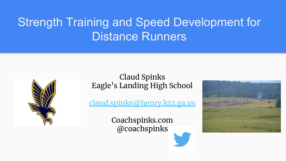### Strength Training and Speed Development for Distance Runners



#### Claud Spinks Eagle's Landing High School

[claud.spinks@henry.k12.ga.us](mailto:claud.spinks@henry.k12.ga.us)

Coachspinks.com @coachspinks

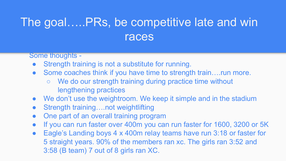### The goal…..PRs, be competitive late and win races

Some thoughts -

- Strength training is not a substitute for running.
- Some coaches think if you have time to strength train....run more.
	- We do our strength training during practice time without lengthening practices
- We don't use the weightroom. We keep it simple and in the stadium
- Strength training....not weightlifting
- One part of an overall training program
- If you can run faster over 400m you can run faster for 1600, 3200 or 5K
- Eagle's Landing boys 4 x 400m relay teams have run 3:18 or faster for 5 straight years. 90% of the members ran xc. The girls ran 3:52 and 3:58 (B team) 7 out of 8 girls ran XC.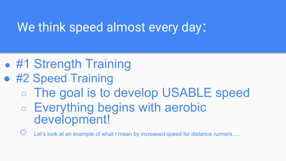### We think speed almost every day:

- #1 Strength Training
- #2 Speed Training
	- The goal is to develop USABLE speed
	- Everything begins with aerobic development!

 $\bigcirc$  Let's look at an example of what I mean by increased speed for distance runners....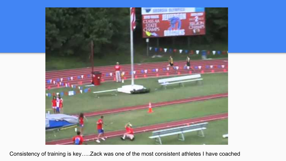

Consistency of training is key…..Zack was one of the most consistent athletes I have coached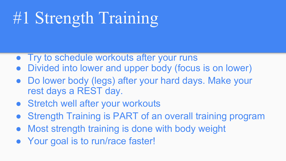# #1 Strength Training

- Try to schedule workouts after your runs
- Divided into lower and upper body (focus is on lower)
- Do lower body (legs) after your hard days. Make your rest days a REST day.
- Stretch well after your workouts
- Strength Training is PART of an overall training program
- Most strength training is done with body weight
- Your goal is to run/race faster!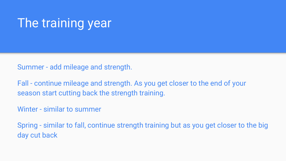### The training year

Summer - add mileage and strength.

Fall - continue mileage and strength. As you get closer to the end of your season start cutting back the strength training.

Winter - similar to summer

Spring - similar to fall, continue strength training but as you get closer to the big day cut back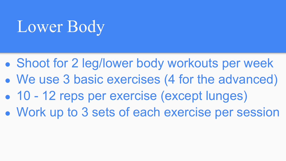## Lower Body

- Shoot for 2 leg/lower body workouts per week • We use 3 basic exercises (4 for the advanced)
- 10 12 reps per exercise (except lunges)
- Work up to 3 sets of each exercise per session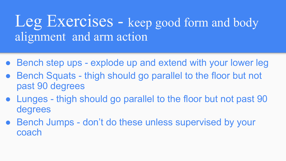### Leg Exercises - keep good form and body alignment and arm action

- Bench step ups explode up and extend with your lower leg
- Bench Squats thigh should go parallel to the floor but not past 90 degrees
- Lunges thigh should go parallel to the floor but not past 90 degrees
- Bench Jumps don't do these unless supervised by your coach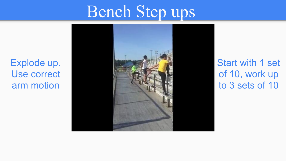## Bench Step ups

Explode up. Use correct arm motion



Start with 1 set of 10, work up to 3 sets of 10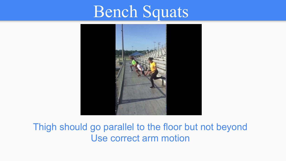## Bench Squats



#### Thigh should go parallel to the floor but not beyond Use correct arm motion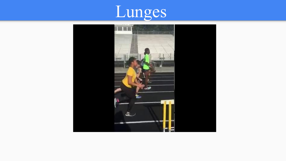

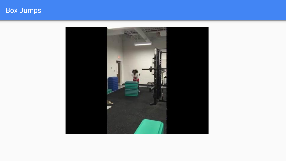#### Box Jumps

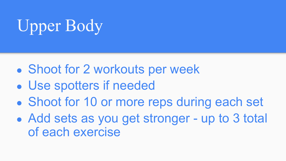# Upper Body

- Shoot for 2 workouts per week
- Use spotters if needed
- Shoot for 10 or more reps during each set
- Add sets as you get stronger up to 3 total of each exercise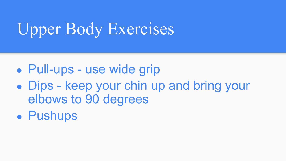# Upper Body Exercises

- Pull-ups use wide grip
- Dips keep your chin up and bring your elbows to 90 degrees
- Pushups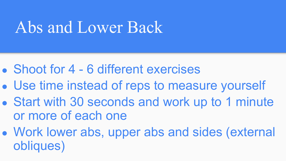## Abs and Lower Back

- Shoot for 4 6 different exercises
- Use time instead of reps to measure yourself
- Start with 30 seconds and work up to 1 minute or more of each one
- Work lower abs, upper abs and sides (external obliques)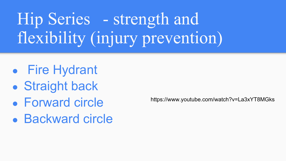# Hip Series - strength and flexibility (injury prevention)

- Fire Hydrant
- Straight back
- Forward circle
- Backward circle

https://www.youtube.com/watch?v=La3xYT8MGks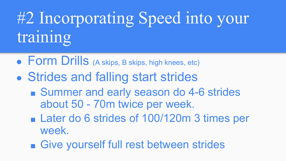# #2 Incorporating Speed into your training

- Form Drills (A skips, B skips, high knees, etc)
- Strides and falling start strides
	- Summer and early season do 4-6 strides about 50 - 70m twice per week.
	- Later do 6 strides of 100/120m 3 times per week.
	- Give yourself full rest between strides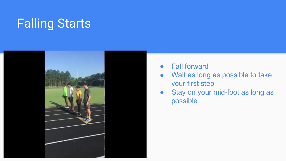### Falling Starts



- **Fall forward**
- Wait as long as possible to take your first step
- Stay on your mid-foot as long as possible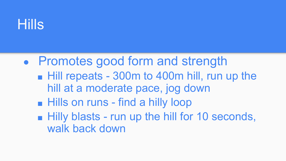

• Promotes good form and strength ■ Hill repeats - 300m to 400m hill, run up the hill at a moderate pace, jog down ■ Hills on runs - find a hilly loop ■ Hilly blasts - run up the hill for 10 seconds, walk back down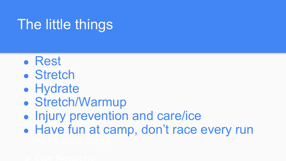## The little things

- Rest
- Stretch
- Hydrate
- Stretch/Warmup
- Injury prevention and care/ice
- Have fun at camp, don't race every run